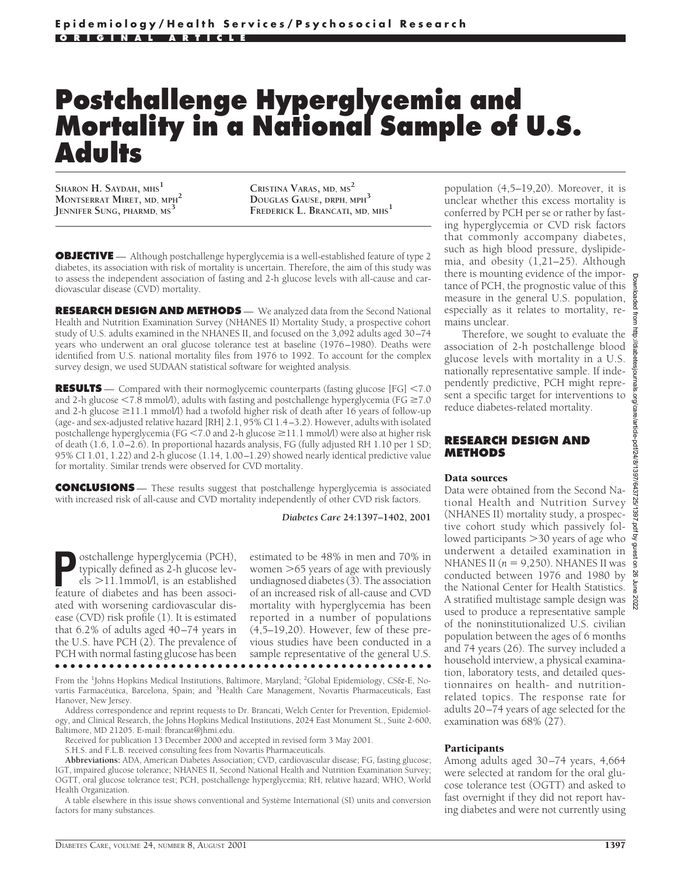# **Postchallenge Hyperglycemia and Mortality in a National Sample of U.S. Adults**

**SHARON H. SAYDAH, MHS1 MONTSERRAT MIRET, MD, MPH2 JENNIFER SUNG, PHARMD, MS**<sup>3</sup>

**CRISTINA VARAS, MD, MS2 DOUGLAS GAUSE, DRPH, MPH3 FREDERICK L. BRANCATI, MD, MHS1**

**OBJECTIVE** — Although postchallenge hyperglycemia is a well-established feature of type 2 diabetes, its association with risk of mortality is uncertain. Therefore, the aim of this study was to assess the independent association of fasting and 2-h glucose levels with all-cause and cardiovascular disease (CVD) mortality.

**RESEARCH DESIGN AND METHODS** — We analyzed data from the Second National Health and Nutrition Examination Survey (NHANES II) Mortality Study, a prospective cohort study of U.S. adults examined in the NHANES II, and focused on the 3,092 adults aged 30–74 years who underwent an oral glucose tolerance test at baseline (1976–1980). Deaths were identified from U.S. national mortality files from 1976 to 1992. To account for the complex survey design, we used SUDAAN statistical software for weighted analysis.

**RESULTS** — Compared with their normoglycemic counterparts (fasting glucose [FG] <7.0 and 2-h glucose  $\leq$ 7.8 mmol/l), adults with fasting and postchallenge hyperglycemia (FG  $\geq$ 7.0 and 2-h glucose  $\geq$ 11.1 mmol/l) had a twofold higher risk of death after 16 years of follow-up (age- and sex-adjusted relative hazard [RH] 2.1, 95% CI 1.4–3.2). However, adults with isolated postchallenge hyperglycemia (FG <7.0 and 2-h glucose  $\geq$ 11.1 mmol/l) were also at higher risk of death (1.6, 1.0–2.6). In proportional hazards analysis, FG (fully adjusted RH 1.10 per 1 SD; 95% CI 1.01, 1.22) and 2-h glucose (1.14, 1.00–1.29) showed nearly identical predictive value for mortality. Similar trends were observed for CVD mortality.

**CONCLUSIONS** — These results suggest that postchallenge hyperglycemia is associated with increased risk of all-cause and CVD mortality independently of other CVD risk factors.

*Diabetes Care* **24:1397–1402, 2001**

**P**ostchallenge hyperglycemia (PCH),<br>typically defined as 2-h glucose lev-<br>els >11.1mmol/l, is an established<br>feature of diabetes and has been associtypically defined as 2-h glucose lev $e$ ls  $>$ 11.1mmol/l, is an established feature of diabetes and has been associated with worsening cardiovascular disease (CVD) risk profile (1). It is estimated that 6.2% of adults aged 40–74 years in the U.S. have PCH (2). The prevalence of PCH with normal fasting glucose has been

estimated to be 48% in men and 70% in women  $>65$  years of age with previously undiagnosed diabetes (3). The association of an increased risk of all-cause and CVD mortality with hyperglycemia has been reported in a number of populations (4,5–19,20). However, few of these previous studies have been conducted in a sample representative of the general U.S.

●●●●●●●●●●●●●●●●●●●●●●●●●●●●●●●●●●●●●●●●●●●●●●●●●

From the <sup>1</sup>Johns Hopkins Medical Institutions, Baltimore, Maryland; <sup>2</sup>Global Epidemiology, CS&-E, Novartis Farmacéutica, Barcelona, Spain; and <sup>3</sup>Health Care Management, Novartis Pharmaceuticals, East Hanover, New Jersey.

Address correspondence and reprint requests to Dr. Brancati, Welch Center for Prevention, Epidemiology, and Clinical Research, the Johns Hopkins Medical Institutions, 2024 East Monument St., Suite 2-600, Baltimore, MD 21205. E-mail: fbrancat@jhmi.edu.

Received for publication 13 December 2000 and accepted in revised form 3 May 2001.

S.H.S. and F.L.B. received consulting fees from Novartis Pharmaceuticals.

**Abbreviations:** ADA, American Diabetes Association; CVD, cardiovascular disease; FG, fasting glucose; IGT, impaired glucose tolerance; NHANES II, Second National Health and Nutrition Examination Survey; OGTT, oral glucose tolerance test; PCH, postchallenge hyperglycemia; RH, relative hazard; WHO, World Health Organization.

A table elsewhere in this issue shows conventional and Système International (SI) units and conversion factors for many substances.

population (4,5–19,20). Moreover, it is unclear whether this excess mortality is conferred by PCH per se or rather by fasting hyperglycemia or CVD risk factors that commonly accompany diabetes, such as high blood pressure, dyslipidemia, and obesity (1,21–25). Although there is mounting evidence of the importance of PCH, the prognostic value of this measure in the general U.S. population, especially as it relates to mortality, remains unclear.

Therefore, we sought to evaluate the association of 2-h postchallenge blood glucose levels with mortality in a U.S. nationally representative sample. If independently predictive, PCH might represent a specific target for interventions to reduce diabetes-related mortality.

#### **RESEARCH DESIGN AND METHODS**

#### Data sources

Data were obtained from the Second National Health and Nutrition Survey (NHANES II) mortality study, a prospective cohort study which passively followed participants  $>$ 30 years of age who underwent a detailed examination in NHANES II  $(n = 9,250)$ . NHANES II was  $\frac{1}{9}$ conducted between 1976 and 1980 by the National Center for Health Statistics. A stratified multistage sample design was  $\frac{8}{8}$ used to produce a representative sample of the noninstitutionalized U.S. civilian population between the ages of 6 months and 74 years (26). The survey included a household interview, a physical examination, laboratory tests, and detailed questionnaires on health- and nutritionrelated topics. The response rate for adults 20–74 years of age selected for the examination was 68% (27).

Among adults aged 30–74 years, 4,664 were selected at random for the oral glucose tolerance test (OGTT) and asked to fast overnight if they did not report having diabetes and were not currently using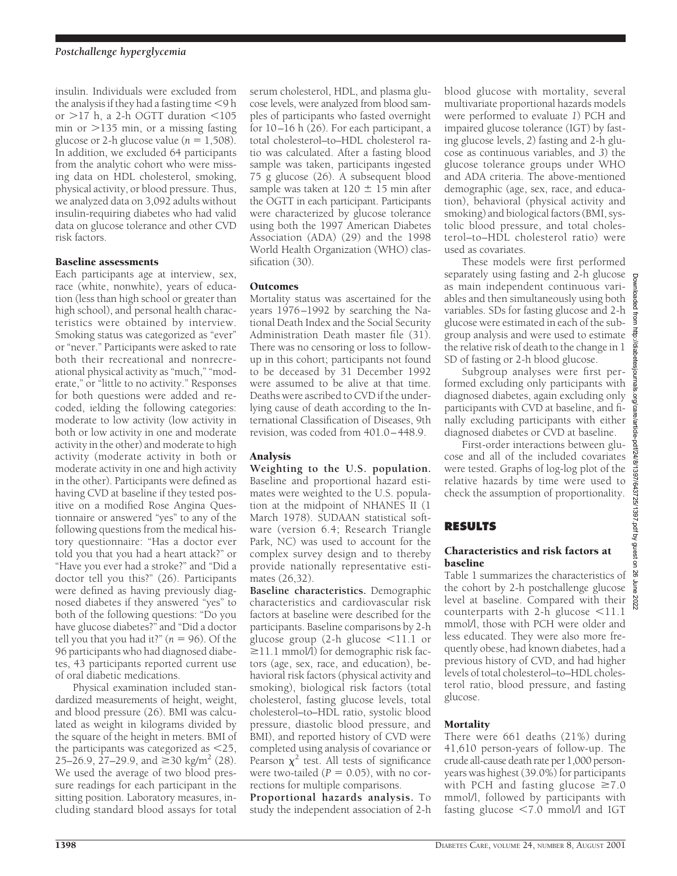insulin. Individuals were excluded from the analysis if they had a fasting time  $<$  9 h or  $>17$  h, a 2-h OGTT duration <105 min or  $>135$  min, or a missing fasting glucose or 2-h glucose value ( $n = 1,508$ ). In addition, we excluded 64 participants from the analytic cohort who were missing data on HDL cholesterol, smoking, physical activity, or blood pressure. Thus, we analyzed data on 3,092 adults without insulin-requiring diabetes who had valid data on glucose tolerance and other CVD risk factors.

## Baseline assessments

Each participants age at interview, sex, race (white, nonwhite), years of education (less than high school or greater than high school), and personal health characteristics were obtained by interview. Smoking status was categorized as "ever" or "never." Participants were asked to rate both their recreational and nonrecreational physical activity as "much," "moderate," or "little to no activity." Responses for both questions were added and recoded, ielding the following categories: moderate to low activity (low activity in both or low activity in one and moderate activity in the other) and moderate to high activity (moderate activity in both or moderate activity in one and high activity in the other). Participants were defined as having CVD at baseline if they tested positive on a modified Rose Angina Questionnaire or answered "yes" to any of the following questions from the medical history questionnaire: "Has a doctor ever told you that you had a heart attack?" or "Have you ever had a stroke?" and "Did a doctor tell you this?" (26). Participants were defined as having previously diagnosed diabetes if they answered "yes" to both of the following questions: "Do you have glucose diabetes?" and "Did a doctor tell you that you had it?"  $(n = 96)$ . Of the 96 participants who had diagnosed diabetes, 43 participants reported current use of oral diabetic medications.

Physical examination included standardized measurements of height, weight, and blood pressure (26). BMI was calculated as weight in kilograms divided by the square of the height in meters. BMI of the participants was categorized as  $\leq$ 25, 25–26.9, 27–29.9, and  $\geq$ 30 kg/m<sup>2</sup> (28). We used the average of two blood pressure readings for each participant in the sitting position. Laboratory measures, including standard blood assays for total serum cholesterol, HDL, and plasma glucose levels, were analyzed from blood samples of participants who fasted overnight for 10–16 h (26). For each participant, a total cholesterol–to–HDL cholesterol ratio was calculated. After a fasting blood sample was taken, participants ingested 75 g glucose (26). A subsequent blood sample was taken at  $120 \pm 15$  min after the OGTT in each participant. Participants were characterized by glucose tolerance using both the 1997 American Diabetes Association (ADA) (29) and the 1998 World Health Organization (WHO) classification (30).

## Outcomes

Mortality status was ascertained for the years 1976–1992 by searching the National Death Index and the Social Security Administration Death master file (31). There was no censoring or loss to followup in this cohort; participants not found to be deceased by 31 December 1992 were assumed to be alive at that time. Deaths were ascribed to CVD if the underlying cause of death according to the International Classification of Diseases, 9th revision, was coded from 401.0–448.9.

# Analysis

**Weighting to the U.S. population.** Baseline and proportional hazard estimates were weighted to the U.S. population at the midpoint of NHANES II (1 March 1978). SUDAAN statistical software (version 6.4; Research Triangle Park, NC) was used to account for the complex survey design and to thereby provide nationally representative estimates (26,32).

**Baseline characteristics.** Demographic characteristics and cardiovascular risk factors at baseline were described for the participants. Baseline comparisons by 2-h glucose group  $(2-h)$  glucose  $\leq 11.1$  or  $\geq$ 11.1 mmol/l) for demographic risk factors (age, sex, race, and education), behavioral risk factors (physical activity and smoking), biological risk factors (total cholesterol, fasting glucose levels, total cholesterol–to–HDL ratio, systolic blood pressure, diastolic blood pressure, and BMI), and reported history of CVD were completed using analysis of covariance or Pearson  $\chi^2$  test. All tests of significance were two-tailed  $(P = 0.05)$ , with no corrections for multiple comparisons.

**Proportional hazards analysis.** To study the independent association of 2-h blood glucose with mortality, several multivariate proportional hazards models were performed to evaluate *1*) PCH and impaired glucose tolerance (IGT) by fasting glucose levels, *2*) fasting and 2-h glucose as continuous variables, and *3*) the glucose tolerance groups under WHO and ADA criteria. The above-mentioned demographic (age, sex, race, and education), behavioral (physical activity and smoking) and biological factors (BMI, systolic blood pressure, and total cholesterol–to–HDL cholesterol ratio) were used as covariates.

These models were first performed separately using fasting and 2-h glucose as main independent continuous variables and then simultaneously using both variables. SDs for fasting glucose and 2-h glucose were estimated in each of the subgroup analysis and were used to estimate the relative risk of death to the change in 1 SD of fasting or 2-h blood glucose.

Subgroup analyses were first performed excluding only participants with diagnosed diabetes, again excluding only participants with CVD at baseline, and finally excluding participants with either diagnosed diabetes or CVD at baseline. diagnosed diabetes or CVD at baseline.

First-order interactions between glucose and all of the included covariates were tested. Graphs of log-log plot of the relative hazards by time were used to check the assumption of proportionality.

# **RESULTS**

### Characteristics and risk factors at baseline

Table 1 summarizes the characteristics of the cohort by 2-h postchallenge glucose level at baseline. Compared with their counterparts with 2-h glucose  $\leq 11.1$ mmol/l, those with PCH were older and less educated. They were also more frequently obese, had known diabetes, had a previous history of CVD, and had higher levels of total cholesterol–to–HDL cholesterol ratio, blood pressure, and fasting glucose.

# **Mortality**

There were 661 deaths (21%) during 41,610 person-years of follow-up. The crude all-cause death rate per 1,000 personyears was highest (39.0%) for participants with PCH and fasting glucose  $\geq 7.0$ mmol/l, followed by participants with fasting glucose  $\leq 7.0$  mmol/l and IGT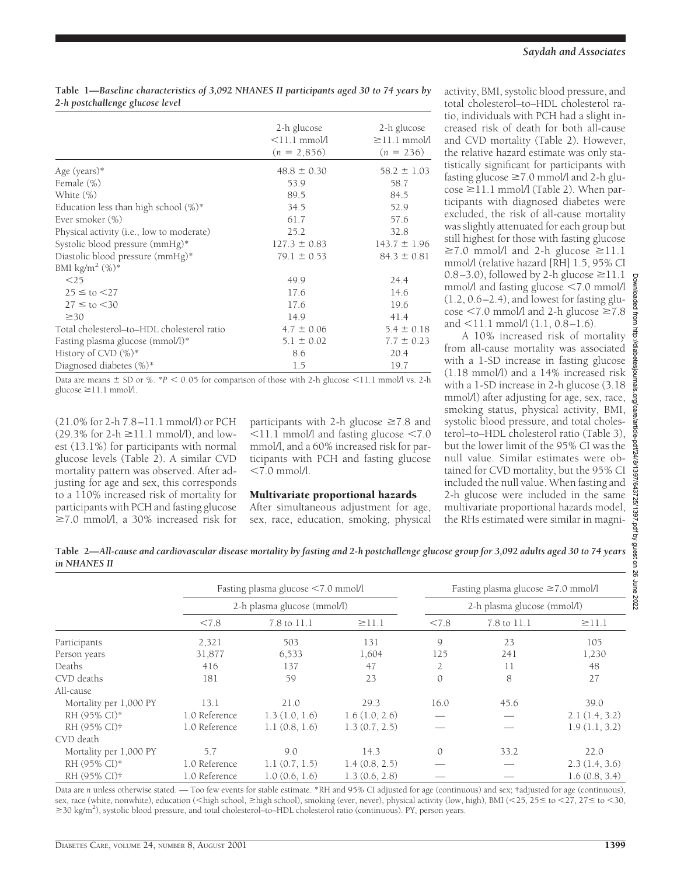## **Table 1—***Baseline characteristics of 3,092 NHANES II participants aged 30 to 74 years by 2-h postchallenge glucose level*

|                                            | 2-h glucose<br>$<$ 11.1 mmol/l<br>$(n = 2,856)$ | 2-h glucose<br>$\geq$ 11.1 mmol/l<br>$(n = 236)$ |
|--------------------------------------------|-------------------------------------------------|--------------------------------------------------|
| Age (years)*                               | $48.8 \pm 0.30$                                 | $58.2 \pm 1.03$                                  |
| Female (%)                                 | 53.9                                            | 58.7                                             |
| White (%)                                  | 89.5                                            | 84.5                                             |
| Education less than high school $(\%)^*$   | 34.5                                            | 52.9                                             |
| Ever smoker (%)                            | 61.7                                            | 57.6                                             |
| Physical activity (i.e., low to moderate)  | 25.2                                            | 32.8                                             |
| Systolic blood pressure (mmHg)*            | $127.3 \pm 0.83$                                | $143.7 \pm 1.96$                                 |
| Diastolic blood pressure (mmHg)*           | $79.1 \pm 0.53$                                 | $84.3 \pm 0.81$                                  |
| BMI kg/m <sup>2</sup> $(\%)^*$             |                                                 |                                                  |
| $<$ 25                                     | 49.9                                            | 24.4                                             |
| $25 \leq$ to $\leq$ 27                     | 17.6                                            | 14.6                                             |
| $27 \leq$ to $< 30$                        | 17.6                                            | 19.6                                             |
| $\geq 30$                                  | 14.9                                            | 41.4                                             |
| Total cholesterol-to-HDL cholesterol ratio | $4.7 \pm 0.06$                                  | $5.4 \pm 0.18$                                   |
| Fasting plasma glucose (mmol/l)*           | $5.1 \pm 0.02$                                  | $7.7 \pm 0.23$                                   |
| History of CVD $(\%)^*$                    | 8.6                                             | 20.4                                             |
| Diagnosed diabetes (%)*                    | 1.5                                             | 19.7                                             |

Data are means  $\pm$  SD or %.  $*P < 0.05$  for comparison of those with 2-h glucose  $\leq$ 11.1 mmol/l vs. 2-h glucose  $\geq$ 11.1 mmol/l.

(21.0% for 2-h 7.8–11.1 mmol/l) or PCH  $(29.3\% \text{ for } 2-h \ge 11.1 \text{ mmol/l})$ , and lowest (13.1%) for participants with normal glucose levels (Table 2). A similar CVD mortality pattern was observed. After adjusting for age and sex, this corresponds to a 110% increased risk of mortality for participants with PCH and fasting glucose  $\geq$ 7.0 mmol/l, a 30% increased risk for participants with 2-h glucose  $\geq 7.8$  and  $\leq$ 11.1 mmol/l and fasting glucose  $\leq$ 7.0 mmol/l, and a 60% increased risk for participants with PCH and fasting glucose  $< 7.0$  mmol/l.

## Multivariate proportional hazards

After simultaneous adjustment for age, sex, race, education, smoking, physical activity, BMI, systolic blood pressure, and total cholesterol–to–HDL cholesterol ratio, individuals with PCH had a slight increased risk of death for both all-cause and CVD mortality (Table 2). However, the relative hazard estimate was only statistically significant for participants with fasting glucose  $\geq 7.0$  mmol/l and 2-h glu- $\cos\epsilon \ge 11.1$  mmol/l (Table 2). When participants with diagnosed diabetes were excluded, the risk of all-cause mortality was slightly attenuated for each group but still highest for those with fasting glucose  $\geq$ 7.0 mmol/l and 2-h glucose  $\geq$ 11.1 mmol/l (relative hazard [RH] 1.5, 95% CI 0.8–3.0), followed by 2-h glucose  $\geq$ 11.1 mmol/l and fasting glucose  $\leq 7.0$  mmol/l  $(1.2, 0.6-2.4)$ , and lowest for fasting glucose  $\leq$ 7.0 mmol/l and 2-h glucose  $\geq$ 7.8 and  $\leq$ 11.1 mmol/l (1.1, 0.8–1.6).

A 10% increased risk of mortality from all-cause mortality was associated with a 1-SD increase in fasting glucose (1.18 mmol/l) and a 14% increased risk with a 1-SD increase in 2-h glucose (3.18 mmol/l) after adjusting for age, sex, race, smoking status, physical activity, BMI, systolic blood pressure, and total cholesterol–to–HDL cholesterol ratio (Table 3), but the lower limit of the 95% CI was the null value. Similar estimates were obtained for CVD mortality, but the 95% CI included the null value. When fasting and 2-h glucose were included in the same multivariate proportional hazards model, the RHs estimated were similar in magni-

| Table 2—All-cause and cardiovascular disease mortality by fasting and 2-h postchallenge glucose group for 3,092 adults aged 30 to 74 years |  |
|--------------------------------------------------------------------------------------------------------------------------------------------|--|
| in NHANES II                                                                                                                               |  |

|                          | Fasting plasma glucose <7.0 mmol/l<br>2-h plasma glucose (mmol/l) |               | Fasting plasma glucose $\geq 7.0$ mmol/l |                |             |               |
|--------------------------|-------------------------------------------------------------------|---------------|------------------------------------------|----------------|-------------|---------------|
|                          |                                                                   |               | 2-h plasma glucose (mmol/l)              |                |             |               |
|                          | < 7.8                                                             | 7.8 to 11.1   | $\geq$ 11.1                              | < 7.8          | 7.8 to 11.1 | $\geq$ 11.1   |
| Participants             | 2,321                                                             | 503           | 131                                      | 9              | 23          | 105           |
| Person years             | 31,877                                                            | 6,533         | 1,604                                    | 125            | 241         | 1,230         |
| Deaths                   | 416                                                               | 137           | 47                                       | $\overline{2}$ | 11          | 48            |
| CVD deaths               | 181                                                               | 59            | 23                                       | $\mathcal{O}$  | 8           | 27            |
| All-cause                |                                                                   |               |                                          |                |             |               |
| Mortality per 1,000 PY   | 13.1                                                              | 21.0          | 29.3                                     | 16.0           | 45.6        | 39.0          |
| RH (95% CI)*             | 1.0 Reference                                                     | 1.3(1.0, 1.6) | 1.6(1.0, 2.6)                            |                |             | 2.1(1.4, 3.2) |
| RH (95% CI)†             | 1.0 Reference                                                     | 1.1(0.8, 1.6) | 1.3(0.7, 2.5)                            |                |             | 1.9(1.1, 3.2) |
| CVD death                |                                                                   |               |                                          |                |             |               |
| Mortality per 1,000 PY   | 5.7                                                               | 9.0           | 14.3                                     | $\mathcal{O}$  | 33.2        | 22.0          |
| RH (95% CI)*             | 1.0 Reference                                                     | 1.1(0.7, 1.5) | 1.4(0.8, 2.5)                            |                |             | 2.3(1.4, 3.6) |
| RH (95% CI) <sup>†</sup> | 1.0 Reference                                                     | 1.0(0.6, 1.6) | 1.3(0.6, 2.8)                            |                |             | 1.6(0.8, 3.4) |

Data are *n* unless otherwise stated. — Too few events for stable estimate. \*RH and 95% CI adjusted for age (continuous) and sex; †adjusted for age (continuous), sex, race (white, nonwhite), education (<high school,  $\geq$ high school), smoking (ever, never), physical activity (low, high), BMI (<25, 25  $\leq$  to <27, 27 $\leq$  to <30, ≥30 kg/m<sup>2</sup>), systolic blood pressure, and total cholesterol–to–HDL cholesterol ratio (continuous). PY, person years.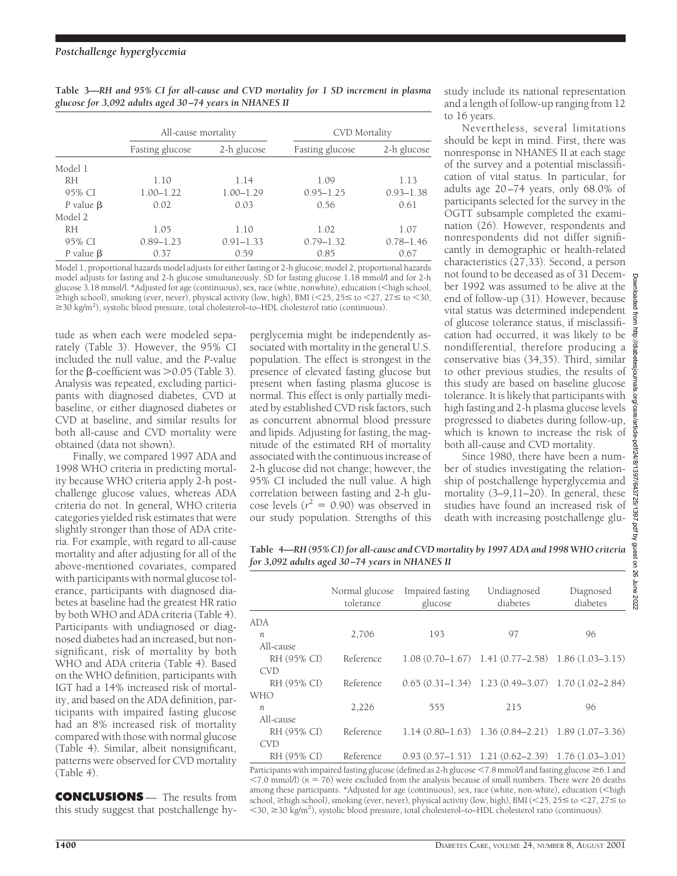|                 | All-cause mortality |               | CVD Mortality   |               |
|-----------------|---------------------|---------------|-----------------|---------------|
|                 | Fasting glucose     | 2-h glucose   | Fasting glucose | 2-h glucose   |
| Model 1         |                     |               |                 |               |
| <b>RH</b>       | 1.10                | 1.14          | 1.09            | 1.13          |
| 95% CI          | $1.00 - 1.22$       | $1.00 - 1.29$ | $0.95 - 1.25$   | $0.93 - 1.38$ |
| P value $\beta$ | 0.02                | 0.03          | 0.56            | 0.61          |
| Model 2         |                     |               |                 |               |
| <b>RH</b>       | 1.05                | 1.10          | 1.02            | 1.07          |
| 95% CI          | $0.89 - 1.23$       | $0.91 - 1.33$ | $0.79 - 1.32$   | $0.78 - 1.46$ |
| P value $\beta$ | 0.37                | 0.59          | 0.85            | 0.67          |

**Table 3—***RH and 95% CI for all-cause and CVD mortality for 1 SD increment in plasma glucose for 3,092 adults aged 30–74 years in NHANES II*

Model 1, proportional hazards model adjusts for either fasting or 2-h glucose; model 2, proportional hazards model adjusts for fasting and 2-h glucose simultaneously. SD for fasting glucose 1.18 mmol/l and for 2-h glucose 3.18 mmol/l. \*Adjusted for age (continuous), sex, race (white, nonwhite), education (<high school,  $\geq$ high school), smoking (ever, never), physical activity (low, high), BMI (<25, 25 \to (27, 27 \to (30, ≥30 kg/m<sup>2</sup>), systolic blood pressure, total cholesterol–to–HDL cholesterol ratio (continuous).

tude as when each were modeled separately (Table 3). However, the 95% CI included the null value, and the *P*-value for the  $\beta$ -coefficient was  $>$  0.05 (Table 3). Analysis was repeated, excluding participants with diagnosed diabetes, CVD at baseline, or either diagnosed diabetes or CVD at baseline, and similar results for both all-cause and CVD mortality were obtained (data not shown).

Finally, we compared 1997 ADA and 1998 WHO criteria in predicting mortality because WHO criteria apply 2-h postchallenge glucose values, whereas ADA criteria do not. In general, WHO criteria categories yielded risk estimates that were slightly stronger than those of ADA criteria. For example, with regard to all-cause mortality and after adjusting for all of the above-mentioned covariates, compared with participants with normal glucose tolerance, participants with diagnosed diabetes at baseline had the greatest HR ratio by both WHO and ADA criteria (Table 4). Participants with undiagnosed or diagnosed diabetes had an increased, but nonsignificant, risk of mortality by both WHO and ADA criteria (Table 4). Based on the WHO definition, participants with IGT had a 14% increased risk of mortality, and based on the ADA definition, participants with impaired fasting glucose had an 8% increased risk of mortality compared with those with normal glucose (Table 4). Similar, albeit nonsignificant, patterns were observed for CVD mortality (Table 4).

**CONCLUSIONS** — The results from this study suggest that postchallenge hyperglycemia might be independently associated with mortality in the general U.S. population. The effect is strongest in the presence of elevated fasting glucose but present when fasting plasma glucose is normal. This effect is only partially mediated by established CVD risk factors, such as concurrent abnormal blood pressure and lipids. Adjusting for fasting, the magnitude of the estimated RH of mortality associated with the continuous increase of 2-h glucose did not change; however, the 95% CI included the null value. A high correlation between fasting and 2-h glucose levels ( $r^2 = 0.90$ ) was observed in our study population. Strengths of this

study include its national representation and a length of follow-up ranging from 12 to 16 years.

Nevertheless, several limitations should be kept in mind. First, there was nonresponse in NHANES II at each stage of the survey and a potential misclassification of vital status. In particular, for adults age 20–74 years, only 68.0% of participants selected for the survey in the OGTT subsample completed the examination (26). However, respondents and nonrespondents did not differ significantly in demographic or health-related characteristics (27,33). Second, a person not found to be deceased as of 31 December 1992 was assumed to be alive at the end of follow-up (31). However, because vital status was determined independent of glucose tolerance status, if misclassification had occurred, it was likely to be nondifferential, therefore producing a conservative bias (34,35). Third, similar to other previous studies, the results of this study are based on baseline glucose tolerance. It is likely that participants with high fasting and 2-h plasma glucose levels progressed to diabetes during follow-up, which is known to increase the risk of both all-cause and CVD mortality.

Since 1980, there have been a number of studies investigating the relationship of postchallenge hyperglycemia and mortality (3–9,11–20). In general, these studies have found an increased risk of death with increasing postchallenge glu-

**Table 4—***RH (95% CI) for all-cause and CVD mortality by 1997 ADA and 1998 WHO criteria for 3,092 adults aged 30–74 years in NHANES II*

|             | Normal glucose<br>tolerance | Impaired fasting<br>glucose | Undiagnosed<br>diabetes                                 | Diagnosed<br>diabetes |
|-------------|-----------------------------|-----------------------------|---------------------------------------------------------|-----------------------|
| ADA         |                             |                             |                                                         |                       |
| n           | 2,706                       | 193                         | 97                                                      | 96                    |
| All-cause   |                             |                             |                                                         |                       |
| RH (95% CI) | Reference                   |                             | $1.08(0.70-1.67)$ 1.41 $(0.77-2.58)$ 1.86 $(1.03-3.15)$ |                       |
| <b>CVD</b>  |                             |                             |                                                         |                       |
| RH (95% CI) | Reference                   |                             | $0.65(0.31-1.34)$ 1.23 $(0.49-3.07)$ 1.70 $(1.02-2.84)$ |                       |
| WHO         |                             |                             |                                                         |                       |
| n           | 2,226                       | 555                         | 215                                                     | 96                    |
| All-cause   |                             |                             |                                                         |                       |
| RH (95% CI) | Reference                   |                             | $1.14(0.80-1.63)$ $1.36(0.84-2.21)$ $1.89(1.07-3.36)$   |                       |
| <b>CVD</b>  |                             |                             |                                                         |                       |
| RH (95% CI) | Reference                   |                             | $0.93(0.57-1.51)$ 1.21 $(0.62-2.39)$ 1.76 $(1.03-3.01)$ |                       |

Participants with impaired fasting glucose (defined as 2-h glucose  $\leq$  7.8 mmol/l and fasting glucose  $\geq$  6.1 and  $<$ 7.0 mmol/l) ( $n = 76$ ) were excluded from the analysis because of small numbers. There were 26 deaths among these participants. \*Adjusted for age (continuous), sex, race (white, non-white), education (<high school,  $\geq$ high school), smoking (ever, never), physical activity (low, high), BMI (<25, 25  $\leq$  to <27, 27 $\leq$  to <30, ≥30 kg/m<sup>2</sup>), systolic blood pressure, total cholesterol–to–HDL cholesterol ratio (continuous).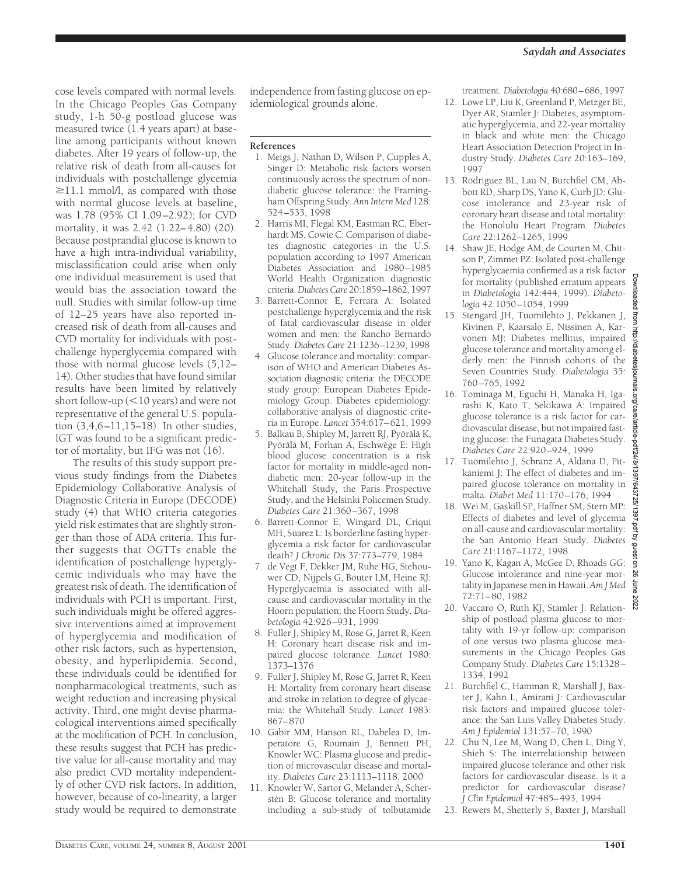cose levels compared with normal levels. In the Chicago Peoples Gas Company study, 1-h 50-g postload glucose was measured twice (1.4 years apart) at baseline among participants without known diabetes. After 19 years of follow-up, the relative risk of death from all-causes for individuals with postchallenge glycemia  $\geq$ 11.1 mmol/l, as compared with those with normal glucose levels at baseline, was 1.78 (95% CI 1.09–2.92); for CVD mortality, it was 2.42 (1.22–4.80) (20). Because postprandial glucose is known to have a high intra-individual variability, misclassification could arise when only one individual measurement is used that would bias the association toward the null. Studies with similar follow-up time of 12–25 years have also reported increased risk of death from all-causes and CVD mortality for individuals with postchallenge hyperglycemia compared with those with normal glucose levels (5,12– 14). Other studies that have found similar results have been limited by relatively short follow-up  $(<$  10 years) and were not representative of the general U.S. population (3,4,6–11,15–18). In other studies, IGT was found to be a significant predictor of mortality, but IFG was not (16).

The results of this study support previous study findings from the Diabetes Epidemiology Collaborative Analysis of Diagnostic Criteria in Europe (DECODE) study (4) that WHO criteria categories yield risk estimates that are slightly stronger than those of ADA criteria. This further suggests that OGTTs enable the identification of postchallenge hyperglycemic individuals who may have the greatest risk of death. The identification of individuals with PCH is important. First, such individuals might be offered aggressive interventions aimed at improvement of hyperglycemia and modification of other risk factors, such as hypertension, obesity, and hyperlipidemia. Second, these individuals could be identified for nonpharmacological treatments, such as weight reduction and increasing physical activity. Third, one might devise pharmacological interventions aimed specifically at the modification of PCH. In conclusion, these results suggest that PCH has predictive value for all-cause mortality and may also predict CVD mortality independently of other CVD risk factors. In addition, however, because of co-linearity, a larger study would be required to demonstrate

independence from fasting glucose on epidemiological grounds alone.

#### **References**

- 1. Meigs J, Nathan D, Wilson P, Cupples A, Singer D: Metabolic risk factors worsen continuously across the spectrum of nondiabetic glucose tolerance: the Framingham Offspring Study. *Ann Intern Med* 128: 524–533, 1998
- 2. Harris MI, Flegal KM, Eastman RC, Eberhardt MS, Cowie C: Comparison of diabetes diagnostic categories in the U.S. population according to 1997 American Diabetes Association and 1980–1985 World Health Organization diagnostic criteria.*Diabetes Care* 20:1859–1862, 1997
- 3. Barrett-Connor E, Ferrara A: Isolated postchallenge hyperglycemia and the risk of fatal cardiovascular disease in older women and men: the Rancho Bernardo Study. *Diabetes Care* 21:1236–1239, 1998
- 4. Glucose tolerance and mortality: comparison of WHO and American Diabetes Association diagnostic criteria: the DECODE study group: European Diabetes Epidemiology Group. Diabetes epidemiology: collaborative analysis of diagnostic criteria in Europe. *Lancet* 354:617–621, 1999
- 5. Balkau B, Shipley M, Jarrett RJ, Pyörälä K, Pyörälä M, Forhan A, Eschwège E: High blood glucose concentration is a risk factor for mortality in middle-aged nondiabetic men: 20-year follow-up in the Whitehall Study, the Paris Prospective Study, and the Helsinki Policemen Study. *Diabetes Care* 21:360–367, 1998
- 6. Barrett-Connor E, Wingard DL, Criqui MH, Suarez L: Is borderline fasting hyperglycemia a risk factor for cardiovascular death? *J Chronic Dis* 37:773–779, 1984
- 7. de Vegt F, Dekker JM, Ruhe HG, Stehouwer CD, Nijpels G, Bouter LM, Heine RJ: Hyperglycaemia is associated with allcause and cardiovascular mortality in the Hoorn population: the Hoorn Study. *Diabetologia* 42:926–931, 1999
- 8. Fuller J, Shipley M, Rose G, Jarret R, Keen H: Coronary heart disease risk and impaired glucose tolerance. *Lancet* 1980: 1373–1376
- 9. Fuller J, Shipley M, Rose G, Jarret R, Keen H: Mortality from coronary heart disease and stroke in relation to degree of glycaemia: the Whitehall Study. *Lancet* 1983: 867–870
- 10. Gabir MM, Hanson RL, Dabelea D, Imperatore G, Roumain J, Bennett PH, Knowler WC: Plasma glucose and prediction of microvascular disease and mortality. *Diabetes Care* 23:1113–1118, 2000
- 11. Knowler W, Sartor G, Melander A, Scherstén B: Glucose tolerance and mortality including a sub-study of tolbutamide

treatment. *Diabetologia* 40:680–686, 1997

- 12. Lowe LP, Liu K, Greenland P, Metzger BE, Dyer AR, Stamler J: Diabetes, asymptomatic hyperglycemia, and 22-year mortality in black and white men: the Chicago Heart Association Detection Project in Industry Study. *Diabetes Care* 20:163–169, 1997
- 13. Rodriguez BL, Lau N, Burchfiel CM, Abbott RD, Sharp DS, Yano K, Curb JD: Glucose intolerance and 23-year risk of coronary heart disease and total mortality: the Honolulu Heart Program. *Diabetes Care* 22:1262–1265, 1999
- 14. Shaw JE, Hodge AM, de Courten M, Chitson P, Zimmet PZ: Isolated post-challenge hyperglycaemia confirmed as a risk factor for mortality (published erratum appears in *Diabetologia* 142:444, 1999). *Diabetologia* 42:1050–1054, 1999
- 15. Stengard JH, Tuomilehto J, Pekkanen J, Kivinen P, Kaarsalo E, Nissinen A, Karvonen MJ: Diabetes mellitus, impaired glucose tolerance and mortality among elderly men: the Finnish cohorts of the Seven Countries Study. *Diabetologia* 35: 760–765, 1992
- 16. Tominaga M, Eguchi H, Manaka H, Igarashi K, Kato T, Sekikawa A: Impaired glucose tolerance is a risk factor for cardiovascular disease, but not impaired fasting glucose: the Funagata Diabetes Study. *Diabetes Care* 22:920–924, 1999
- 17. Tuomilehto J, Schranz A, Aldana D, Pitkäniemi J: The effect of diabetes and impaired glucose tolerance on mortality in malta. *Diabet Med* 11:170–176, 1994
- 18. Wei M, Gaskill SP, Haffner SM, Stern MP: Effects of diabetes and level of glycemia on all-cause and cardiovascular mortality: the San Antonio Heart Study. *Diabetes Care* 21:1167–1172, 1998
- 19. Yano K, Kagan A, McGee D, Rhoads GG: Glucose intolerance and nine-year mortality in Japanese men in Hawaii. *Am J Med* 72:71–80, 1982
- 20. Vaccaro O, Ruth KJ, Stamler J: Relationship of postload plasma glucose to mortality with 19-yr follow-up: comparison of one versus two plasma glucose measurements in the Chicago Peoples Gas Company Study. *Diabetes Care* 15:1328– 1334, 1992
- 21. Burchfiel C, Hamman R, Marshall J, Baxter J, Kahn L, Amirani J: Cardiovascular risk factors and impaired glucose tolerance: the San Luis Valley Diabetes Study. *Am J Epidemiol* 131:57–70, 1990
- 22. Chu N, Lee M, Wang D, Chen L, Ding Y, Shieh S: The interrelationship between impaired glucose tolerance and other risk factors for cardiovascular disease. Is it a predictor for cardiovascular disease? *J Clin Epidemiol* 47:485–493, 1994
- 23. Rewers M, Shetterly S, Baxter J, Marshall

Hom

://diabetesjour